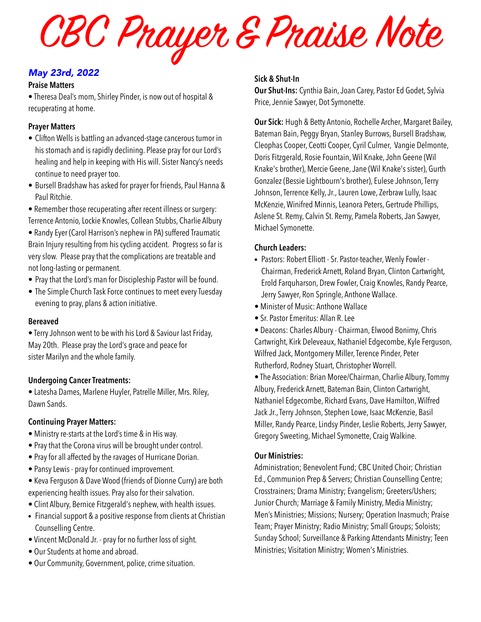CBC Prayer & Praise Note

## *May 23rd, 2022*

### **Praise Matters**

• Theresa Deal's mom, Shirley Pinder, is now out of hospital & recuperating at home.

## **Prayer Matters**

- Clifton Wells is battling an advanced-stage cancerous tumor in his stomach and is rapidly declining. Please pray for our Lord's healing and help in keeping with His will. Sister Nancy's needs continue to need prayer too.
- Bursell Bradshaw has asked for prayer for friends, Paul Hanna & Paul Ritchie.
- Remember those recuperating after recent illness or surgery: Terrence Antonio, Lockie Knowles, Collean Stubbs, Charlie Albury
- Randy Eyer (Carol Harrison's nephew in PA) suffered Traumatic Brain Injury resulting from his cycling accident. Progress so far is very slow. Please pray that the complications are treatable and not long-lasting or permanent.
- Pray that the Lord's man for Discipleship Pastor will be found.
- The Simple Church Task Force continues to meet every Tuesday evening to pray, plans & action initiative.

### **Bereaved**

• Terry Johnson went to be with his Lord & Saviour last Friday, May 20th. Please pray the Lord's grace and peace for sister Marilyn and the whole family.

### **Undergoing Cancer Treatments:**

• Latesha Dames, Marlene Huyler, Patrelle Miller, Mrs. Riley, Dawn Sands.

### **Continuing Prayer Matters:**

- Ministry re-starts at the Lord's time & in His way.
- Pray that the Corona virus will be brought under control.
- Pray for all affected by the ravages of Hurricane Dorian.
- Pansy Lewis pray for continued improvement.
- Keva Ferguson & Dave Wood (friends of Dionne Curry) are both experiencing health issues. Pray also for their salvation.
- Clint Albury, Bernice Fitzgerald's nephew, with health issues.
- Financial support & a positive response from clients at Christian Counselling Centre.
- Vincent McDonald Jr. pray for no further loss of sight.
- Our Students at home and abroad.
- Our Community, Government, police, crime situation.

## **Sick & Shut-In**

**Our Shut-Ins:** Cynthia Bain, Joan Carey, Pastor Ed Godet, Sylvia Price, Jennie Sawyer, Dot Symonette.

**Our Sick:** Hugh & Betty Antonio, Rochelle Archer, Margaret Bailey, Bateman Bain, Peggy Bryan, Stanley Burrows, Bursell Bradshaw, Cleophas Cooper, Ceotti Cooper, Cyril Culmer, Vangie Delmonte, Doris Fitzgerald, Rosie Fountain, Wil Knake, John Geene (Wil Knake's brother), Mercie Geene, Jane (Wil Knake's sister), Gurth Gonzalez (Bessie Lightbourn's brother), Eulese Johnson, Terry Johnson, Terrence Kelly, Jr., Lauren Lowe, Zerbraw Lully, Isaac McKenzie, Winifred Minnis, Leanora Peters, Gertrude Phillips, Aslene St. Remy, Calvin St. Remy, Pamela Roberts, Jan Sawyer, Michael Symonette.

## **Church Leaders:**

- Pastors: Robert Elliott Sr. Pastor-teacher, Wenly Fowler Chairman, Frederick Arnett, Roland Bryan, Clinton Cartwright, Erold Farquharson, Drew Fowler, Craig Knowles, Randy Pearce, Jerry Sawyer, Ron Springle, Anthone Wallace.
- Minister of Music: Anthone Wallace
- Sr. Pastor Emeritus: Allan R. Lee
- Deacons: Charles Albury Chairman, Elwood Bonimy, Chris Cartwright, Kirk Deleveaux, Nathaniel Edgecombe, Kyle Ferguson, Wilfred Jack, Montgomery Miller, Terence Pinder, Peter Rutherford, Rodney Stuart, Christopher Worrell.

• The Association: Brian Moree/Chairman, Charlie Albury, Tommy Albury, Frederick Arnett, Bateman Bain, Clinton Cartwright, Nathaniel Edgecombe, Richard Evans, Dave Hamilton, Wilfred Jack Jr., Terry Johnson, Stephen Lowe, Isaac McKenzie, Basil Miller, Randy Pearce, Lindsy Pinder, Leslie Roberts, Jerry Sawyer, Gregory Sweeting, Michael Symonette, Craig Walkine.

## **Our Ministries:**

Administration; Benevolent Fund; CBC United Choir; Christian Ed., Communion Prep & Servers; Christian Counselling Centre; Crosstrainers; Drama Ministry; Evangelism; Greeters/Ushers; Junior Church; Marriage & Family Ministry, Media Ministry; Men's Ministries; Missions; Nursery; Operation Inasmuch; Praise Team; Prayer Ministry; Radio Ministry; Small Groups; Soloists; Sunday School; Surveillance & Parking Attendants Ministry; Teen Ministries; Visitation Ministry; Women's Ministries.